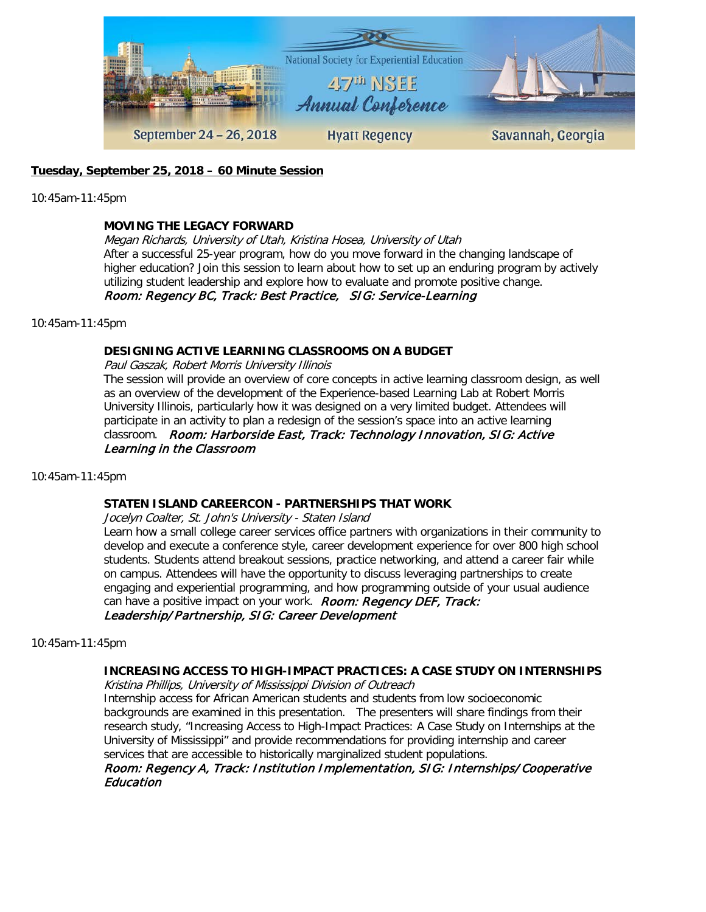

## **Tuesday, September 25, 2018 – 60 Minute Session**

10:45am-11:45pm

### **MOVING THE LEGACY FORWARD**

Megan Richards, University of Utah, Kristina Hosea, University of Utah After a successful 25-year program, how do you move forward in the changing landscape of higher education? Join this session to learn about how to set up an enduring program by actively utilizing student leadership and explore how to evaluate and promote positive change. Room: Regency BC, Track: Best Practice, SIG: Service-Learning

10:45am-11:45pm

### **DESIGNING ACTIVE LEARNING CLASSROOMS ON A BUDGET**

Paul Gaszak, Robert Morris University Illinois

The session will provide an overview of core concepts in active learning classroom design, as well as an overview of the development of the Experience-based Learning Lab at Robert Morris University Illinois, particularly how it was designed on a very limited budget. Attendees will participate in an activity to plan a redesign of the session's space into an active learning classroom. Room: Harborside East, Track: Technology Innovation, SIG: Active Learning in the Classroom

10:45am-11:45pm

#### **STATEN ISLAND CAREERCON - PARTNERSHIPS THAT WORK**

Jocelyn Coalter, St. John's University - Staten Island

Learn how a small college career services office partners with organizations in their community to develop and execute a conference style, career development experience for over 800 high school students. Students attend breakout sessions, practice networking, and attend a career fair while on campus. Attendees will have the opportunity to discuss leveraging partnerships to create engaging and experiential programming, and how programming outside of your usual audience can have a positive impact on your work. Room: Regency DEF, Track: Leadership/Partnership, SIG: Career Development

10:45am-11:45pm

## **INCREASING ACCESS TO HIGH-IMPACT PRACTICES: A CASE STUDY ON INTERNSHIPS**

Kristina Phillips, University of Mississippi Division of Outreach

Internship access for African American students and students from low socioeconomic backgrounds are examined in this presentation. The presenters will share findings from their research study, "Increasing Access to High-Impact Practices: A Case Study on Internships at the University of Mississippi" and provide recommendations for providing internship and career services that are accessible to historically marginalized student populations.

Room: Regency A, Track: Institution Implementation, SIG: Internships/Cooperative Education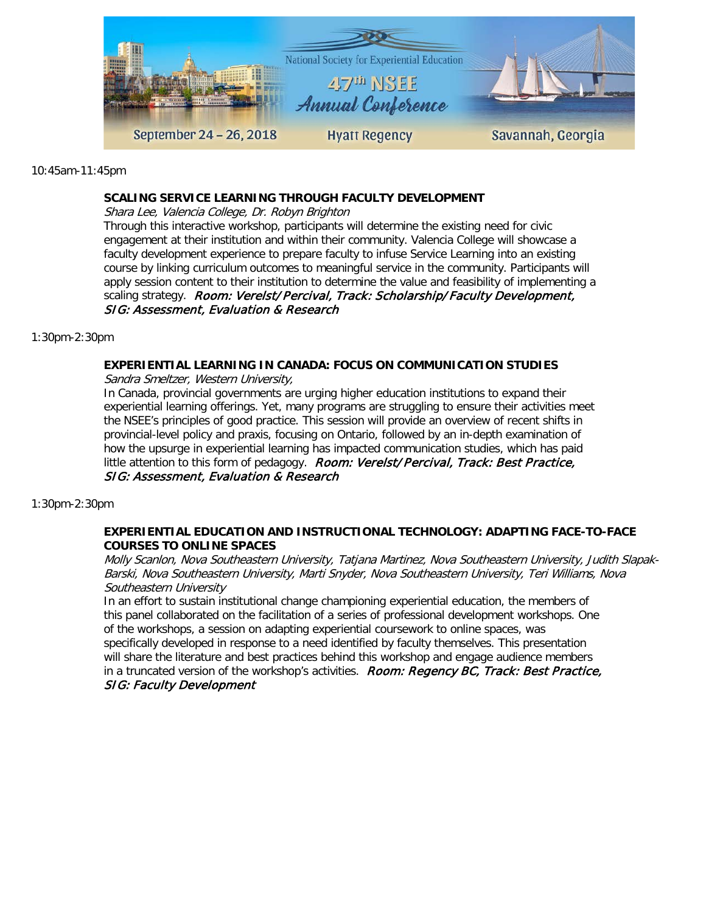

10:45am-11:45pm

### **SCALING SERVICE LEARNING THROUGH FACULTY DEVELOPMENT**

Shara Lee, Valencia College, Dr. Robyn Brighton

Through this interactive workshop, participants will determine the existing need for civic engagement at their institution and within their community. Valencia College will showcase a faculty development experience to prepare faculty to infuse Service Learning into an existing course by linking curriculum outcomes to meaningful service in the community. Participants will apply session content to their institution to determine the value and feasibility of implementing a scaling strategy. Room: Verelst/Percival, Track: Scholarship/Faculty Development, SIG: Assessment, Evaluation & Research

1:30pm-2:30pm

## **EXPERIENTIAL LEARNING IN CANADA: FOCUS ON COMMUNICATION STUDIES**

Sandra Smeltzer, Western University,

In Canada, provincial governments are urging higher education institutions to expand their experiential learning offerings. Yet, many programs are struggling to ensure their activities meet the NSEE's principles of good practice. This session will provide an overview of recent shifts in provincial-level policy and praxis, focusing on Ontario, followed by an in-depth examination of how the upsurge in experiential learning has impacted communication studies, which has paid little attention to this form of pedagogy. Room: Verelst/Percival, Track: Best Practice, SIG: Assessment, Evaluation & Research

## 1:30pm-2:30pm

## **EXPERIENTIAL EDUCATION AND INSTRUCTIONAL TECHNOLOGY: ADAPTING FACE-TO-FACE COURSES TO ONLINE SPACES**

Molly Scanlon, Nova Southeastern University, Tatjana Martinez, Nova Southeastern University, Judith Slapak-Barski, Nova Southeastern University, Marti Snyder, Nova Southeastern University, Teri Williams, Nova Southeastern University

In an effort to sustain institutional change championing experiential education, the members of this panel collaborated on the facilitation of a series of professional development workshops. One of the workshops, a session on adapting experiential coursework to online spaces, was specifically developed in response to a need identified by faculty themselves. This presentation will share the literature and best practices behind this workshop and engage audience members in a truncated version of the workshop's activities. Room: Regency BC, Track: Best Practice, SIG: Faculty Development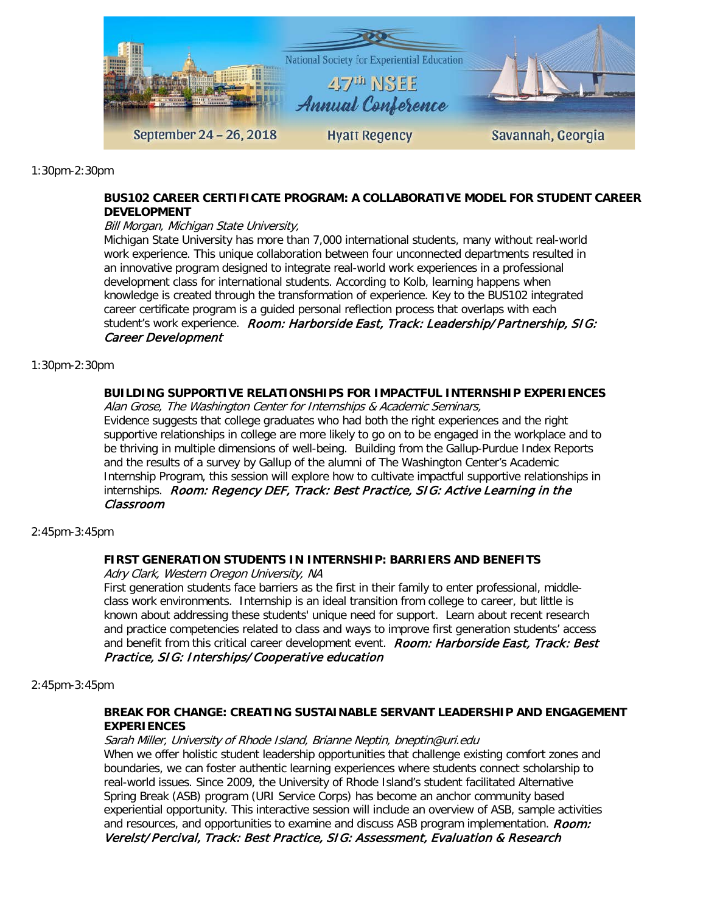

1:30pm-2:30pm

## **BUS102 CAREER CERTIFICATE PROGRAM: A COLLABORATIVE MODEL FOR STUDENT CAREER DEVELOPMENT**

### Bill Morgan, Michigan State University,

Michigan State University has more than 7,000 international students, many without real-world work experience. This unique collaboration between four unconnected departments resulted in an innovative program designed to integrate real-world work experiences in a professional development class for international students. According to Kolb, learning happens when knowledge is created through the transformation of experience. Key to the BUS102 integrated career certificate program is a guided personal reflection process that overlaps with each student's work experience. Room: Harborside East, Track: Leadership/Partnership, SIG: Career Development

#### 1:30pm-2:30pm

## **BUILDING SUPPORTIVE RELATIONSHIPS FOR IMPACTFUL INTERNSHIP EXPERIENCES**

Alan Grose, The Washington Center for Internships & Academic Seminars,

Evidence suggests that college graduates who had both the right experiences and the right supportive relationships in college are more likely to go on to be engaged in the workplace and to be thriving in multiple dimensions of well-being. Building from the Gallup-Purdue Index Reports and the results of a survey by Gallup of the alumni of The Washington Center's Academic Internship Program, this session will explore how to cultivate impactful supportive relationships in internships. Room: Regency DEF, Track: Best Practice, SIG: Active Learning in the Classroom

#### 2:45pm-3:45pm

## **FIRST GENERATION STUDENTS IN INTERNSHIP: BARRIERS AND BENEFITS**

Adry Clark, Western Oregon University, NA

First generation students face barriers as the first in their family to enter professional, middleclass work environments. Internship is an ideal transition from college to career, but little is known about addressing these students' unique need for support. Learn about recent research and practice competencies related to class and ways to improve first generation students' access and benefit from this critical career development event. Room: Harborside East, Track: Best Practice, SIG: Interships/Cooperative education

#### 2:45pm-3:45pm

#### **BREAK FOR CHANGE: CREATING SUSTAINABLE SERVANT LEADERSHIP AND ENGAGEMENT EXPERIENCES**

Sarah Miller, University of Rhode Island, Brianne Neptin, bneptin@uri.edu When we offer holistic student leadership opportunities that challenge existing comfort zones and boundaries, we can foster authentic learning experiences where students connect scholarship to real-world issues. Since 2009, the University of Rhode Island's student facilitated Alternative Spring Break (ASB) program (URI Service Corps) has become an anchor community based experiential opportunity. This interactive session will include an overview of ASB, sample activities and resources, and opportunities to examine and discuss ASB program implementation. Room: Verelst/Percival, Track: Best Practice, SIG: Assessment, Evaluation & Research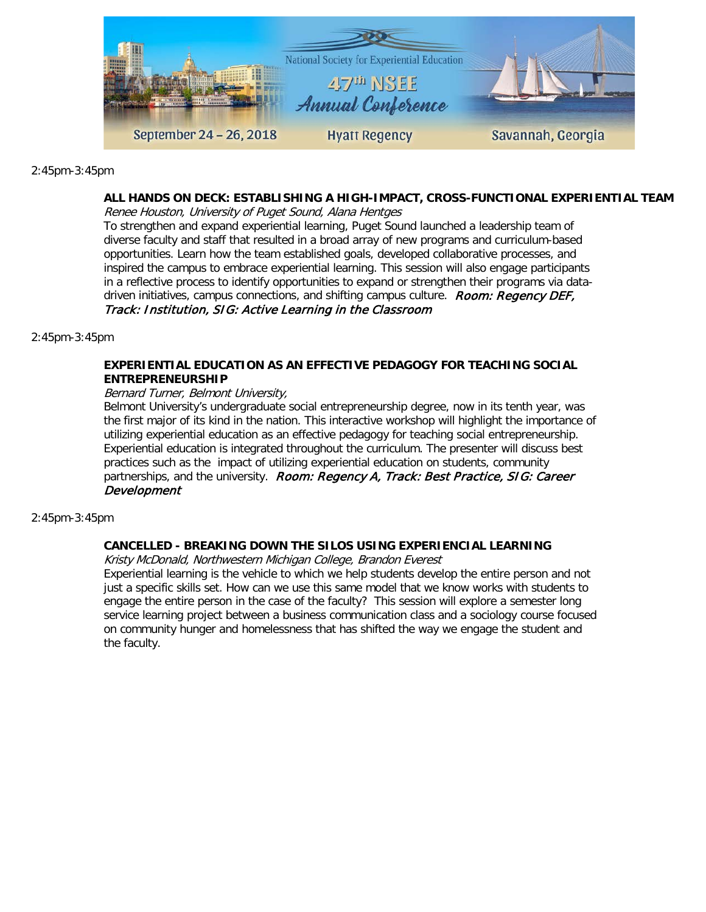

2:45pm-3:45pm

#### **ALL HANDS ON DECK: ESTABLISHING A HIGH-IMPACT, CROSS-FUNCTIONAL EXPERIENTIAL TEAM**

Renee Houston, University of Puget Sound, Alana Hentges

To strengthen and expand experiential learning, Puget Sound launched a leadership team of diverse faculty and staff that resulted in a broad array of new programs and curriculum-based opportunities. Learn how the team established goals, developed collaborative processes, and inspired the campus to embrace experiential learning. This session will also engage participants in a reflective process to identify opportunities to expand or strengthen their programs via datadriven initiatives, campus connections, and shifting campus culture. Room: Regency DEF, Track: Institution, SIG: Active Learning in the Classroom

2:45pm-3:45pm

#### **EXPERIENTIAL EDUCATION AS AN EFFECTIVE PEDAGOGY FOR TEACHING SOCIAL ENTREPRENEURSHIP**

#### Bernard Turner, Belmont University,

Belmont University's undergraduate social entrepreneurship degree, now in its tenth year, was the first major of its kind in the nation. This interactive workshop will highlight the importance of utilizing experiential education as an effective pedagogy for teaching social entrepreneurship. Experiential education is integrated throughout the curriculum. The presenter will discuss best practices such as the impact of utilizing experiential education on students, community partnerships, and the university. Room: Regency A, Track: Best Practice, SIG: Career Development

#### 2:45pm-3:45pm

## **CANCELLED - BREAKING DOWN THE SILOS USING EXPERIENCIAL LEARNING**

Kristy McDonald, Northwestern Michigan College, Brandon Everest

Experiential learning is the vehicle to which we help students develop the entire person and not just a specific skills set. How can we use this same model that we know works with students to engage the entire person in the case of the faculty? This session will explore a semester long service learning project between a business communication class and a sociology course focused on community hunger and homelessness that has shifted the way we engage the student and the faculty.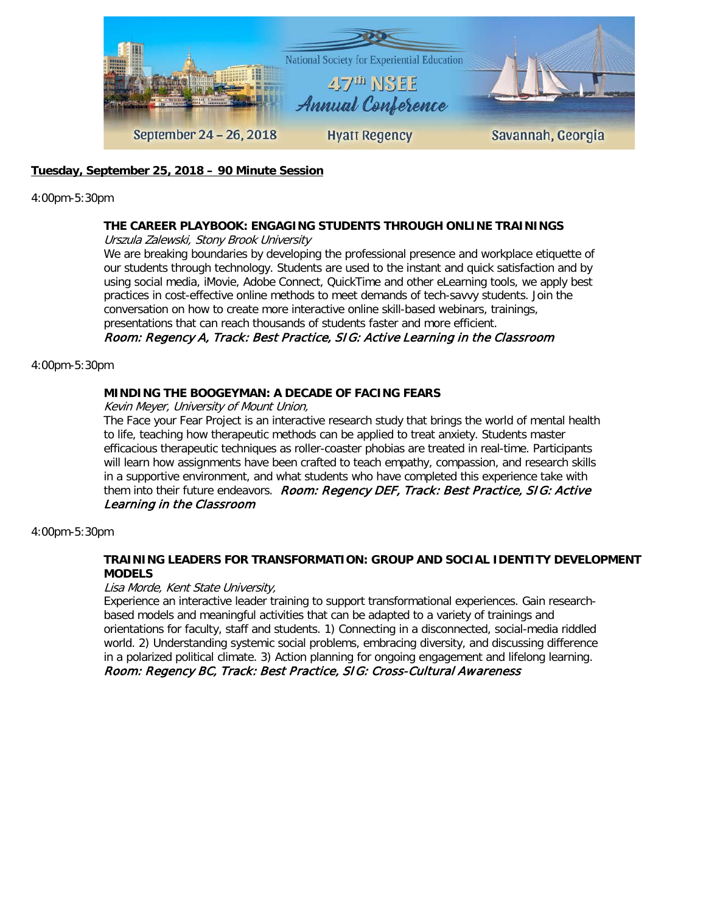

## **Tuesday, September 25, 2018 – 90 Minute Session**

4:00pm-5:30pm

## **THE CAREER PLAYBOOK: ENGAGING STUDENTS THROUGH ONLINE TRAININGS**

Urszula Zalewski, Stony Brook University

We are breaking boundaries by developing the professional presence and workplace etiquette of our students through technology. Students are used to the instant and quick satisfaction and by using social media, iMovie, Adobe Connect, QuickTime and other eLearning tools, we apply best practices in cost-effective online methods to meet demands of tech-savvy students. Join the conversation on how to create more interactive online skill-based webinars, trainings, presentations that can reach thousands of students faster and more efficient.

## Room: Regency A, Track: Best Practice, SIG: Active Learning in the Classroom

#### 4:00pm-5:30pm

## **MINDING THE BOOGEYMAN: A DECADE OF FACING FEARS**

Kevin Meyer, University of Mount Union,

The Face your Fear Project is an interactive research study that brings the world of mental health to life, teaching how therapeutic methods can be applied to treat anxiety. Students master efficacious therapeutic techniques as roller-coaster phobias are treated in real-time. Participants will learn how assignments have been crafted to teach empathy, compassion, and research skills in a supportive environment, and what students who have completed this experience take with them into their future endeavors. Room: Regency DEF, Track: Best Practice, SIG: Active Learning in the Classroom

4:00pm-5:30pm

## **TRAINING LEADERS FOR TRANSFORMATION: GROUP AND SOCIAL IDENTITY DEVELOPMENT MODELS**

Lisa Morde, Kent State University,

Experience an interactive leader training to support transformational experiences. Gain researchbased models and meaningful activities that can be adapted to a variety of trainings and orientations for faculty, staff and students. 1) Connecting in a disconnected, social-media riddled world. 2) Understanding systemic social problems, embracing diversity, and discussing difference in a polarized political climate. 3) Action planning for ongoing engagement and lifelong learning. Room: Regency BC, Track: Best Practice, SIG: Cross-Cultural Awareness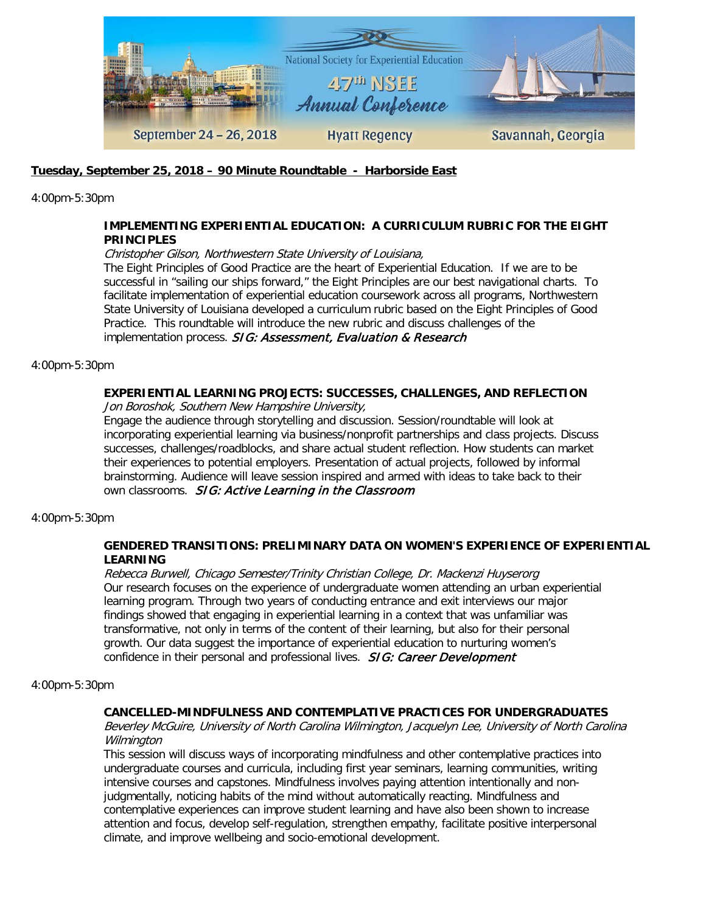

## **Tuesday, September 25, 2018 – 90 Minute Roundtable - Harborside East**

4:00pm-5:30pm

## **IMPLEMENTING EXPERIENTIAL EDUCATION: A CURRICULUM RUBRIC FOR THE EIGHT PRINCIPLES**

Christopher Gilson, Northwestern State University of Louisiana,

The Eight Principles of Good Practice are the heart of Experiential Education. If we are to be successful in "sailing our ships forward," the Eight Principles are our best navigational charts. To facilitate implementation of experiential education coursework across all programs, Northwestern State University of Louisiana developed a curriculum rubric based on the Eight Principles of Good Practice. This roundtable will introduce the new rubric and discuss challenges of the implementation process. SIG: Assessment, Evaluation & Research

4:00pm-5:30pm

# **EXPERIENTIAL LEARNING PROJECTS: SUCCESSES, CHALLENGES, AND REFLECTION**

Jon Boroshok, Southern New Hampshire University,

Engage the audience through storytelling and discussion. Session/roundtable will look at incorporating experiential learning via business/nonprofit partnerships and class projects. Discuss successes, challenges/roadblocks, and share actual student reflection. How students can market their experiences to potential employers. Presentation of actual projects, followed by informal brainstorming. Audience will leave session inspired and armed with ideas to take back to their own classrooms. SIG: Active Learning in the Classroom

4:00pm-5:30pm

### **GENDERED TRANSITIONS: PRELIMINARY DATA ON WOMEN'S EXPERIENCE OF EXPERIENTIAL LEARNING**

Rebecca Burwell, Chicago Semester/Trinity Christian College, Dr. Mackenzi Huyserorg Our research focuses on the experience of undergraduate women attending an urban experiential learning program. Through two years of conducting entrance and exit interviews our major findings showed that engaging in experiential learning in a context that was unfamiliar was transformative, not only in terms of the content of their learning, but also for their personal growth. Our data suggest the importance of experiential education to nurturing women's confidence in their personal and professional lives. **SIG: Career Development** 

#### 4:00pm-5:30pm

## **CANCELLED-MINDFULNESS AND CONTEMPLATIVE PRACTICES FOR UNDERGRADUATES**

Beverley McGuire, University of North Carolina Wilmington, Jacquelyn Lee, University of North Carolina Wilmington

This session will discuss ways of incorporating mindfulness and other contemplative practices into undergraduate courses and curricula, including first year seminars, learning communities, writing intensive courses and capstones. Mindfulness involves paying attention intentionally and nonjudgmentally, noticing habits of the mind without automatically reacting. Mindfulness and contemplative experiences can improve student learning and have also been shown to increase attention and focus, develop self-regulation, strengthen empathy, facilitate positive interpersonal climate, and improve wellbeing and socio-emotional development.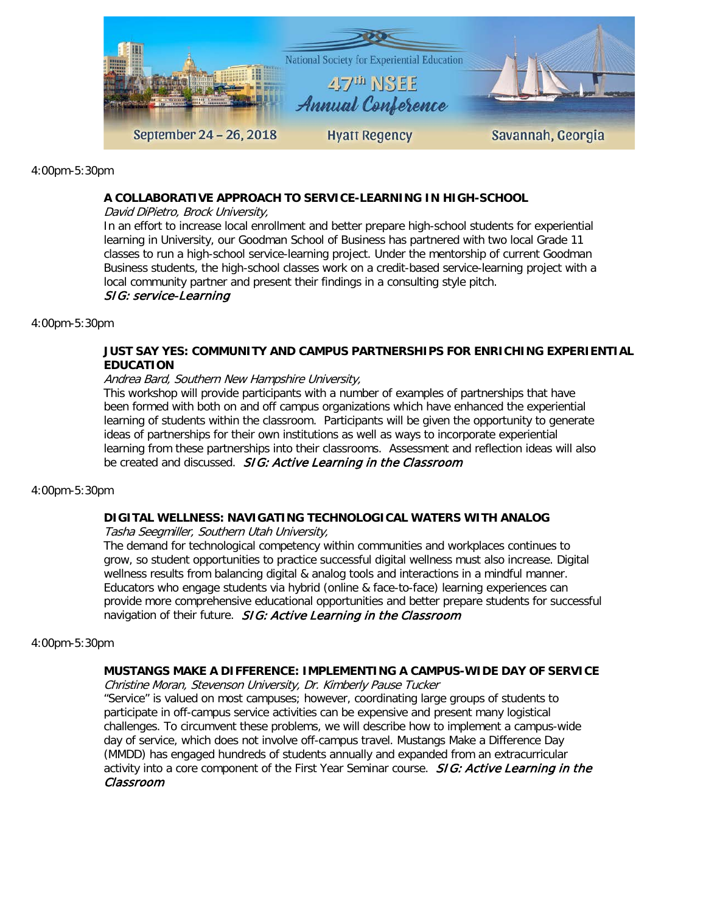

4:00pm-5:30pm

#### **A COLLABORATIVE APPROACH TO SERVICE-LEARNING IN HIGH-SCHOOL**

David DiPietro, Brock University,

In an effort to increase local enrollment and better prepare high-school students for experiential learning in University, our Goodman School of Business has partnered with two local Grade 11 classes to run a high-school service-learning project. Under the mentorship of current Goodman Business students, the high-school classes work on a credit-based service-learning project with a local community partner and present their findings in a consulting style pitch.

#### SIG: service-Learning

4:00pm-5:30pm

## **JUST SAY YES: COMMUNITY AND CAMPUS PARTNERSHIPS FOR ENRICHING EXPERIENTIAL EDUCATION**

#### Andrea Bard, Southern New Hampshire University,

This workshop will provide participants with a number of examples of partnerships that have been formed with both on and off campus organizations which have enhanced the experiential learning of students within the classroom. Participants will be given the opportunity to generate ideas of partnerships for their own institutions as well as ways to incorporate experiential learning from these partnerships into their classrooms. Assessment and reflection ideas will also be created and discussed. SIG: Active Learning in the Classroom

4:00pm-5:30pm

#### **DIGITAL WELLNESS: NAVIGATING TECHNOLOGICAL WATERS WITH ANALOG**

Tasha Seegmiller, Southern Utah University,

The demand for technological competency within communities and workplaces continues to grow, so student opportunities to practice successful digital wellness must also increase. Digital wellness results from balancing digital & analog tools and interactions in a mindful manner. Educators who engage students via hybrid (online & face-to-face) learning experiences can provide more comprehensive educational opportunities and better prepare students for successful navigation of their future. SIG: Active Learning in the Classroom

4:00pm-5:30pm

## **MUSTANGS MAKE A DIFFERENCE: IMPLEMENTING A CAMPUS-WIDE DAY OF SERVICE**

Christine Moran, Stevenson University, Dr. Kimberly Pause Tucker

"Service" is valued on most campuses; however, coordinating large groups of students to participate in off-campus service activities can be expensive and present many logistical challenges. To circumvent these problems, we will describe how to implement a campus-wide day of service, which does not involve off-campus travel. Mustangs Make a Difference Day (MMDD) has engaged hundreds of students annually and expanded from an extracurricular activity into a core component of the First Year Seminar course. SIG: Active Learning in the Classroom